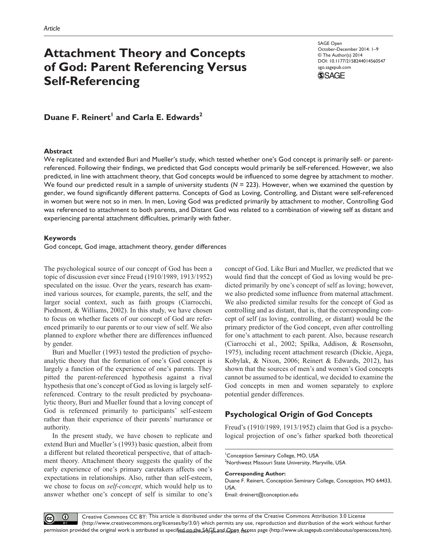# **Attachment Theory and Concepts of God: Parent Referencing Versus Self-Referencing**

SAGE Open October-December 2014: 1–9 © The Author(s) 2014 DOI: 10.1177/2158244014560547 sgo.sagepub.com



**Duane F. Reinert<sup>1</sup> and Carla E. Edwards<sup>2</sup>** 

### **Abstract**

We replicated and extended Buri and Mueller's study, which tested whether one's God concept is primarily self- or parentreferenced. Following their findings, we predicted that God concepts would primarily be self-referenced. However, we also predicted, in line with attachment theory, that God concepts would be influenced to some degree by attachment to mother. We found our predicted result in a sample of university students (*N* = 223). However, when we examined the question by gender, we found significantly different patterns. Concepts of God as Loving, Controlling, and Distant were self-referenced in women but were not so in men. In men, Loving God was predicted primarily by attachment to mother, Controlling God was referenced to attachment to both parents, and Distant God was related to a combination of viewing self as distant and experiencing parental attachment difficulties, primarily with father.

### **Keywords**

God concept, God image, attachment theory, gender differences

The psychological source of our concept of God has been a topic of discussion ever since Freud (1910/1989, 1913/1952) speculated on the issue. Over the years, research has examined various sources, for example, parents, the self, and the larger social context, such as faith groups (Ciarrocchi, Piedmont, & Williams, 2002). In this study, we have chosen to focus on whether facets of our concept of God are referenced primarily to our parents or to our view of self. We also planned to explore whether there are differences influenced by gender.

Buri and Mueller (1993) tested the prediction of psychoanalytic theory that the formation of one's God concept is largely a function of the experience of one's parents. They pitted the parent-referenced hypothesis against a rival hypothesis that one's concept of God as loving is largely selfreferenced. Contrary to the result predicted by psychoanalytic theory, Buri and Mueller found that a loving concept of God is referenced primarily to participants' self-esteem rather than their experience of their parents' nurturance or authority.

In the present study, we have chosen to replicate and extend Buri and Mueller's (1993) basic question, albeit from a different but related theoretical perspective, that of attachment theory. Attachment theory suggests the quality of the early experience of one's primary caretakers affects one's expectations in relationships. Also, rather than self-esteem, we chose to focus on *self-concept*, which would help us to answer whether one's concept of self is similar to one's concept of God. Like Buri and Mueller, we predicted that we would find that the concept of God as loving would be predicted primarily by one's concept of self as loving; however, we also predicted some influence from maternal attachment. We also predicted similar results for the concept of God as controlling and as distant, that is, that the corresponding concept of self (as loving, controlling, or distant) would be the primary predictor of the God concept, even after controlling for one's attachment to each parent. Also, because research (Ciarrocchi et al., 2002; Spilka, Addison, & Rosensohn, 1975), including recent attachment research (Dickie, Ajega, Kobylak, & Nixon, 2006; Reinert & Edwards, 2012), has shown that the sources of men's and women's God concepts cannot be assumed to be identical, we decided to examine the God concepts in men and women separately to explore potential gender differences.

# **Psychological Origin of God Concepts**

Freud's (1910/1989, 1913/1952) claim that God is a psychological projection of one's father sparked both theoretical

#### **Corresponding Author:**

Duane F. Reinert, Conception Seminary College, Conception, MO 64433, USA.

Email: [dreinert@conception.edu](mailto:dreinert@conception.edu)

<sup>&</sup>lt;sup>1</sup> Conception Seminary College, MO, USA 2 Northwest Missouri State University, Maryville, USA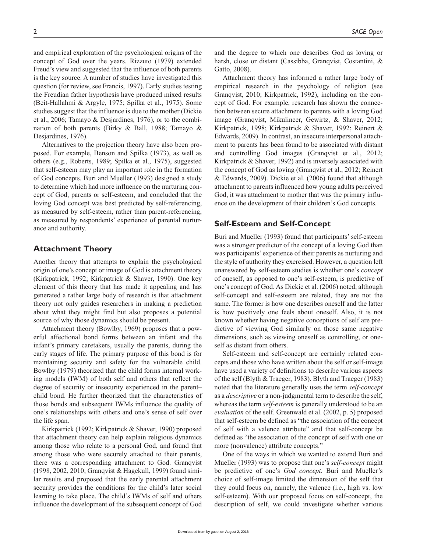and empirical exploration of the psychological origins of the concept of God over the years. Rizzuto (1979) extended Freud's view and suggested that the influence of both parents is the key source. A number of studies have investigated this question (for review, see Francis, 1997). Early studies testing the Freudian father hypothesis have produced mixed results (Beit-Hallahmi & Argyle, 1975; Spilka et al., 1975). Some studies suggest that the influence is due to the mother (Dickie et al., 2006; Tamayo & Desjardines, 1976), or to the combination of both parents (Birky & Ball, 1988; Tamayo & Desjardines, 1976).

Alternatives to the projection theory have also been proposed. For example, Benson and Spilka (1973), as well as others (e.g., Roberts, 1989; Spilka et al., 1975), suggested that self-esteem may play an important role in the formation of God concepts. Buri and Mueller (1993) designed a study to determine which had more influence on the nurturing concept of God, parents or self-esteem, and concluded that the loving God concept was best predicted by self-referencing, as measured by self-esteem, rather than parent-referencing, as measured by respondents' experience of parental nurturance and authority.

# **Attachment Theory**

Another theory that attempts to explain the psychological origin of one's concept or image of God is attachment theory (Kirkpatrick, 1992; Kirkpatrick & Shaver, 1990). One key element of this theory that has made it appealing and has generated a rather large body of research is that attachment theory not only guides researchers in making a prediction about what they might find but also proposes a potential source of why those dynamics should be present.

Attachment theory (Bowlby, 1969) proposes that a powerful affectional bond forms between an infant and the infant's primary caretakers, usually the parents, during the early stages of life. The primary purpose of this bond is for maintaining security and safety for the vulnerable child. Bowlby (1979) theorized that the child forms internal working models (IWM) of both self and others that reflect the degree of security or insecurity experienced in the parent– child bond. He further theorized that the characteristics of those bonds and subsequent IWMs influence the quality of one's relationships with others and one's sense of self over the life span.

Kirkpatrick (1992; Kirkpatrick & Shaver, 1990) proposed that attachment theory can help explain religious dynamics among those who relate to a personal God, and found that among those who were securely attached to their parents, there was a corresponding attachment to God. Granqvist (1998, 2002, 2010; Granqvist & Hagekull, 1999) found similar results and proposed that the early parental attachment security provides the conditions for the child's later social learning to take place. The child's IWMs of self and others influence the development of the subsequent concept of God

and the degree to which one describes God as loving or harsh, close or distant (Cassibba, Granqvist, Costantini, & Gatto, 2008).

Attachment theory has informed a rather large body of empirical research in the psychology of religion (see Granqvist, 2010; Kirkpatrick, 1992), including on the concept of God. For example, research has shown the connection between secure attachment to parents with a loving God image (Granqvist, Mikulincer, Gewirtz, & Shaver, 2012; Kirkpatrick, 1998; Kirkpatrick & Shaver, 1992; Reinert & Edwards, 2009). In contrast, an insecure interpersonal attachment to parents has been found to be associated with distant and controlling God images (Granqvist et al., 2012; Kirkpatrick & Shaver, 1992) and is inversely associated with the concept of God as loving (Granqvist et al., 2012; Reinert & Edwards, 2009). Dickie et al. (2006) found that although attachment to parents influenced how young adults perceived God, it was attachment to mother that was the primary influence on the development of their children's God concepts.

# **Self-Esteem and Self-Concept**

Buri and Mueller (1993) found that participants' self-esteem was a stronger predictor of the concept of a loving God than was participants' experience of their parents as nurturing and the style of authority they exercised. However, a question left unanswered by self-esteem studies is whether one's *concept* of oneself, as opposed to one's self-esteem, is predictive of one's concept of God. As Dickie et al. (2006) noted, although self-concept and self-esteem are related, they are not the same. The former is how one describes oneself and the latter is how positively one feels about oneself. Also, it is not known whether having negative conceptions of self are predictive of viewing God similarly on those same negative dimensions, such as viewing oneself as controlling, or oneself as distant from others.

Self-esteem and self-concept are certainly related concepts and those who have written about the self or self-image have used a variety of definitions to describe various aspects of the self (Blyth & Traeger, 1983). Blyth and Traeger (1983) noted that the literature generally uses the term *self-concept* as a *descriptive* or a non-judgmental term to describe the self, whereas the term *self-esteem* is generally understood to be an *evaluation* of the self. Greenwald et al. (2002, p. 5) proposed that self-esteem be defined as "the association of the concept of self with a valence attribute" and that self-concept be defined as "the association of the concept of self with one or more (nonvalence) attribute concepts."

One of the ways in which we wanted to extend Buri and Mueller (1993) was to propose that one's *self-concept* might be predictive of one's *God concept*. Buri and Mueller's choice of self-image limited the dimension of the self that they could focus on, namely, the valence (i.e., high vs. low self-esteem). With our proposed focus on self-concept, the description of self, we could investigate whether various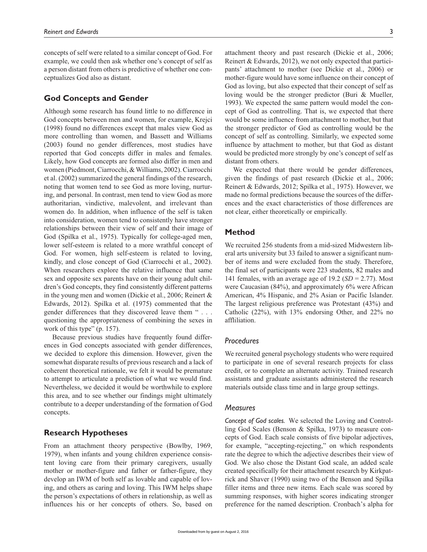concepts of self were related to a similar concept of God. For example, we could then ask whether one's concept of self as a person distant from others is predictive of whether one conceptualizes God also as distant.

# **God Concepts and Gender**

Although some research has found little to no difference in God concepts between men and women, for example, Krejci (1998) found no differences except that males view God as more controlling than women, and Bassett and Williams (2003) found no gender differences, most studies have reported that God concepts differ in males and females. Likely, how God concepts are formed also differ in men and women (Piedmont, Ciarrocchi, & Williams, 2002). Ciarrocchi et al. (2002) summarized the general findings of the research, noting that women tend to see God as more loving, nurturing, and personal. In contrast, men tend to view God as more authoritarian, vindictive, malevolent, and irrelevant than women do. In addition, when influence of the self is taken into consideration, women tend to consistently have stronger relationships between their view of self and their image of God (Spilka et al., 1975). Typically for college-aged men, lower self-esteem is related to a more wrathful concept of God. For women, high self-esteem is related to loving, kindly, and close concept of God (Ciarrocchi et al., 2002). When researchers explore the relative influence that same sex and opposite sex parents have on their young adult children's God concepts, they find consistently different patterns in the young men and women (Dickie et al., 2006; Reinert & Edwards, 2012). Spilka et al. (1975) commented that the gender differences that they discovered leave them " . . . questioning the appropriateness of combining the sexes in work of this type" (p. 157).

Because previous studies have frequently found differences in God concepts associated with gender differences, we decided to explore this dimension. However, given the somewhat disparate results of previous research and a lack of coherent theoretical rationale, we felt it would be premature to attempt to articulate a prediction of what we would find. Nevertheless, we decided it would be worthwhile to explore this area, and to see whether our findings might ultimately contribute to a deeper understanding of the formation of God concepts.

# **Research Hypotheses**

From an attachment theory perspective (Bowlby, 1969, 1979), when infants and young children experience consistent loving care from their primary caregivers, usually mother or mother-figure and father or father-figure, they develop an IWM of both self as lovable and capable of loving, and others as caring and loving. This IWM helps shape the person's expectations of others in relationship, as well as influences his or her concepts of others. So, based on

attachment theory and past research (Dickie et al., 2006; Reinert & Edwards, 2012), we not only expected that participants' attachment to mother (see Dickie et al., 2006) or mother-figure would have some influence on their concept of God as loving, but also expected that their concept of self as loving would be the stronger predictor (Buri & Mueller, 1993). We expected the same pattern would model the concept of God as controlling. That is, we expected that there would be some influence from attachment to mother, but that the stronger predictor of God as controlling would be the concept of self as controlling. Similarly, we expected some influence by attachment to mother, but that God as distant would be predicted more strongly by one's concept of self as distant from others.

We expected that there would be gender differences, given the findings of past research (Dickie et al., 2006; Reinert & Edwards, 2012; Spilka et al., 1975). However, we made no formal predictions because the sources of the differences and the exact characteristics of those differences are not clear, either theoretically or empirically.

# **Method**

We recruited 256 students from a mid-sized Midwestern liberal arts university but 33 failed to answer a significant number of items and were excluded from the study. Therefore, the final set of participants were 223 students, 82 males and 141 females, with an average age of 19.2 (*SD* = 2.77). Most were Caucasian (84%), and approximately 6% were African American, 4% Hispanic, and 2% Asian or Pacific Islander. The largest religious preference was Protestant (43%) and Catholic (22%), with 13% endorsing Other, and 22% no affliliation.

# *Procedures*

We recruited general psychology students who were required to participate in one of several research projects for class credit, or to complete an alternate activity. Trained research assistants and graduate assistants administered the research materials outside class time and in large group settings.

### *Measures*

*Concept of God scales.* We selected the Loving and Controlling God Scales (Benson & Spilka, 1973) to measure concepts of God. Each scale consists of five bipolar adjectives, for example, "accepting-rejecting," on which respondents rate the degree to which the adjective describes their view of God. We also chose the Distant God scale, an added scale created specifically for their attachment research by Kirkpatrick and Shaver (1990) using two of the Benson and Spilka filler items and three new items. Each scale was scored by summing responses, with higher scores indicating stronger preference for the named description. Cronbach's alpha for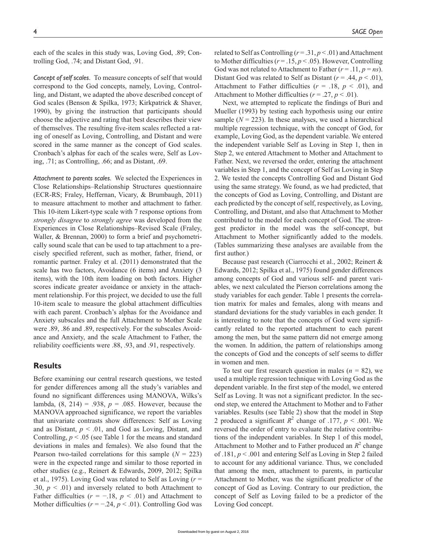each of the scales in this study was, Loving God, .89; Controlling God, .74; and Distant God, .91.

*Concept of self scales.* To measure concepts of self that would correspond to the God concepts, namely, Loving, Controlling, and Distant, we adapted the above described concept of God scales (Benson & Spilka, 1973; Kirkpatrick & Shaver, 1990), by giving the instruction that participants should choose the adjective and rating that best describes their view of themselves. The resulting five-item scales reflected a rating of oneself as Loving, Controlling, and Distant and were scored in the same manner as the concept of God scales. Cronbach's alphas for each of the scales were, Self as Loving, .71; as Controlling, .66; and as Distant, .69.

*Attachment to parents scales.* We selected the Experiences in Close Relationships–Relationship Structures questionnaire (ECR-RS; Fraley, Heffernan, Vicary, & Brumbaugh, 2011) to measure attachment to mother and attachment to father. This 10-item Likert-type scale with 7 response options from *strongly disagree* to *strongly agree* was developed from the Experiences in Close Relationships–Revised Scale (Fraley, Waller, & Brennan, 2000) to form a brief and psychometrically sound scale that can be used to tap attachment to a precisely specified referent, such as mother, father, friend, or romantic partner. Fraley et al. (2011) demonstrated that the scale has two factors, Avoidance (6 items) and Anxiety (3 items), with the 10th item loading on both factors. Higher scores indicate greater avoidance or anxiety in the attachment relationship. For this project, we decided to use the full 10-item scale to measure the global attachment difficulties with each parent. Cronbach's alphas for the Avoidance and Anxiety subscales and the full Attachment to Mother Scale were .89, .86 and .89, respectively. For the subscales Avoidance and Anxiety, and the scale Attachment to Father, the reliability coefficients were .88, .93, and .91, respectively.

### **Results**

Before examining our central research questions, we tested for gender differences among all the study's variables and found no significant differences using MANOVA, Wilks's lambda, (8, 214) = .938, *p* = .085. However, because the MANOVA approached significance, we report the variables that univariate contrasts show differences: Self as Loving and as Distant,  $p < .01$ , and God as Loving, Distant, and Controlling,  $p < 0.05$  (see Table 1 for the means and standard deviations in males and females). We also found that the Pearson two-tailed correlations for this sample  $(N = 223)$ were in the expected range and similar to those reported in other studies (e.g., Reinert & Edwards, 2009, 2012; Spilka et al., 1975). Loving God was related to Self as Loving (*r* = .30,  $p < .01$ ) and inversely related to both Attachment to Father difficulties ( $r = -.18$ ,  $p < .01$ ) and Attachment to Mother difficulties ( $r = -.24$ ,  $p < .01$ ). Controlling God was

related to Self as Controlling ( $r = .31, p < .01$ ) and Attachment to Mother difficulties ( $r = .15$ ,  $p < .05$ ). However, Controlling God was not related to Attachment to Father  $(r = .11, p = ns)$ . Distant God was related to Self as Distant  $(r = .44, p < .01)$ , Attachment to Father difficulties  $(r = .18, p < .01)$ , and Attachment to Mother difficulties ( $r = .27$ ,  $p < .01$ ).

Next, we attempted to replicate the findings of Buri and Mueller (1993) by testing each hypothesis using our entire sample  $(N = 223)$ . In these analyses, we used a hierarchical multiple regression technique, with the concept of God, for example, Loving God, as the dependent variable. We entered the independent variable Self as Loving in Step 1, then in Step 2, we entered Attachment to Mother and Attachment to Father. Next, we reversed the order, entering the attachment variables in Step 1, and the concept of Self as Loving in Step 2. We tested the concepts Controlling God and Distant God using the same strategy. We found, as we had predicted, that the concepts of God as Loving, Controlling, and Distant are each predicted by the concept of self, respectively, as Loving, Controlling, and Distant, and also that Attachment to Mother contributed to the model for each concept of God. The strongest predictor in the model was the self-concept, but Attachment to Mother significantly added to the models. (Tables summarizing these analyses are available from the first author.)

Because past research (Ciarrocchi et al., 2002; Reinert & Edwards, 2012; Spilka et al., 1975) found gender differences among concepts of God and various self- and parent variables, we next calculated the Pierson correlations among the study variables for each gender. Table 1 presents the correlation matrix for males and females, along with means and standard deviations for the study variables in each gender. It is interesting to note that the concepts of God were significantly related to the reported attachment to each parent among the men, but the same pattern did not emerge among the women. In addition, the pattern of relationships among the concepts of God and the concepts of self seems to differ in women and men.

To test our first research question in males (*n =* 82), we used a multiple regression technique with Loving God as the dependent variable. In the first step of the model, we entered Self as Loving. It was not a significant predictor. In the second step, we entered the Attachment to Mother and to Father variables. Results (see Table 2) show that the model in Step 2 produced a significant  $R^2$  change of .177,  $p < .001$ . We reversed the order of entry to evaluate the relative contributions of the independent variables. In Step 1 of this model, Attachment to Mother and to Father produced an  $R^2$  change of .181, *p* < .001 and entering Self as Loving in Step 2 failed to account for any additional variance. Thus, we concluded that among the men, attachment to parents, in particular Attachment to Mother, was the significant predictor of the concept of God as Loving. Contrary to our prediction, the concept of Self as Loving failed to be a predictor of the Loving God concept.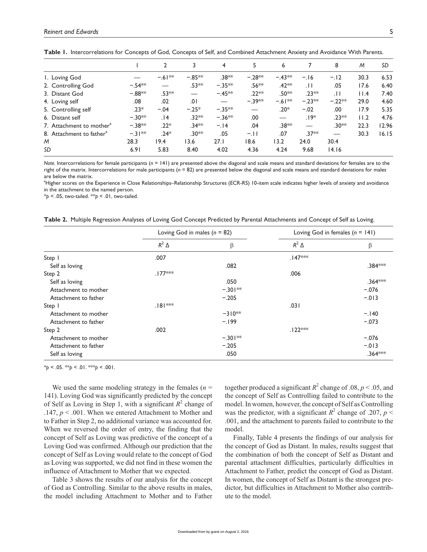|                                      |          |           | 3                        | 4                  | 5        | 6                  |          | 8               | M    | SD    |
|--------------------------------------|----------|-----------|--------------------------|--------------------|----------|--------------------|----------|-----------------|------|-------|
| I. Loving God                        |          | $-.61***$ | $-.85***$                | .38 <sup>*</sup> * | $-.28**$ | $-.43***$          | $-.16$   | $-.12$          | 30.3 | 6.53  |
| 2. Controlling God                   | $-.54**$ |           | .53**                    | $-.35***$          | .56**    | $.42***$           | . H      | .05             | 17.6 | 6.40  |
| 3. Distant God                       | $-.88**$ | $.53**$   | $\overline{\phantom{0}}$ | $-45**$            | $.22**$  | .50**              | $.23**$  | $\overline{11}$ | 11.4 | 7.40  |
| 4. Loving self                       | .08      | .02       | 0١.                      |                    | $-.39**$ | $-.61***$          | $-.23**$ | $-.22**$        | 29.0 | 4.60  |
| 5. Controlling self                  | $.23*$   | $-.04$    | $-.25*$                  | $-.35***$          |          | $.20*$             | $-.02$   | .00             | 17.9 | 5.35  |
| 6. Distant self                      | $-.30**$ | 14.       | .32 <sup>*</sup> *       | $-.36***$          | .00      |                    | $.19*$   | .23**           | 11.2 | 4.76  |
| 7. Attachment to mother <sup>a</sup> | $-.38**$ | $.22*$    | $.34***$                 | $-.14$             | .04      | .38 <sup>*</sup> * |          | $.30**$         | 22.3 | 12.96 |
| 8. Attachment to father <sup>a</sup> | $-31**$  | $.24*$    | .30 <sup>*</sup> *       | .05                | $-.11$   | .07                | $.37**$  |                 | 30.3 | 16.15 |
| M                                    | 28.3     | 19.4      | 13.6                     | 27.1               | 18.6     | 13.2               | 24.0     | 30.4            |      |       |
| SD                                   | 6.91     | 5.83      | 8.40                     | 4.02               | 4.36     | 4.24               | 9.68     | 14.16           |      |       |

Table 1. Intercorrelations for Concepts of God, Concepts of Self, and Combined Attachment Anxiety and Avoidance With Parents.

*Note.* Intercorrelations for female participants (*n* = 141) are presented above the diagonal and scale means and standard deviations for females are to the right of the matrix. Intercorrelations for male participants (*n* = 82) are presented below the diagonal and scale means and standard deviations for males are below the matrix.

a Higher scores on the Experience in Close Relationships–Relationship Structures (ECR-RS) 10-item scale indicates higher levels of anxiety and avoidance in the attachment to the named person.

\**p* < .05, two-tailed. \*\**p* < .01, two-tailed.

**Table 2.** Multiple Regression Analyses of Loving God Concept Predicted by Parental Attachments and Concept of Self as Loving.

|                      | Loving God in males $(n = 82)$ |            |                | Loving God in females $(n = 141)$ |  |  |
|----------------------|--------------------------------|------------|----------------|-----------------------------------|--|--|
|                      | $R^2$ $\Delta$                 | β          | $R^2$ $\Delta$ | β                                 |  |  |
| Step I               | .007                           |            | $.147***$      |                                   |  |  |
| Self as loving       |                                | .082       |                | .384 ***                          |  |  |
| Step 2               | $.177***$                      |            | .006           |                                   |  |  |
| Self as loving       |                                | .050       |                | $.364***$                         |  |  |
| Attachment to mother |                                | $-.301***$ |                | $-.076$                           |  |  |
| Attachment to father |                                | $-.205$    |                | $-.013$                           |  |  |
| Step                 | $.181***$                      |            | .031           |                                   |  |  |
| Attachment to mother |                                | $-310**$   |                | $-.140$                           |  |  |
| Attachment to father |                                | $-199$     |                | $-.073$                           |  |  |
| Step 2               | .002                           |            | $.122***$      |                                   |  |  |
| Attachment to mother |                                | $-.301**$  |                | $-.076$                           |  |  |
| Attachment to father |                                | $-.205$    |                | $-.013$                           |  |  |
| Self as loving       |                                | .050       |                | $.364***$                         |  |  |

 $*_{p}$  < .05.  $*_{p}$  < .01.  $*_{p}$  < .001.

We used the same modeling strategy in the females  $(n =$ 141). Loving God was significantly predicted by the concept of Self as Loving in Step 1, with a significant  $R^2$  change of .147, *p* < .001. When we entered Attachment to Mother and to Father in Step 2, no additional variance was accounted for. When we reversed the order of entry, the finding that the concept of Self as Loving was predictive of the concept of a Loving God was confirmed. Although our prediction that the concept of Self as Loving would relate to the concept of God as Loving was supported, we did not find in these women the influence of Attachment to Mother that we expected.

Table 3 shows the results of our analysis for the concept of God as Controlling. Similar to the above results in males, the model including Attachment to Mother and to Father

together produced a significant  $R^2$  change of .08,  $p < .05$ , and the concept of Self as Controlling failed to contribute to the model. In women, however, the concept of Self as Controlling was the predictor, with a significant  $R^2$  change of .207,  $p <$ .001, and the attachment to parents failed to contribute to the model.

Finally, Table 4 presents the findings of our analysis for the concept of God as Distant. In males, results suggest that the combination of both the concept of Self as Distant and parental attachment difficulties, particularly difficulties in Attachment to Father, predict the concept of God as Distant. In women, the concept of Self as Distant is the strongest predictor, but difficulties in Attachment to Mother also contribute to the model.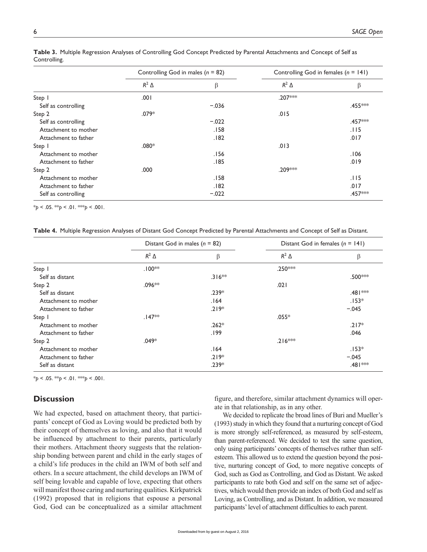|                      | Controlling God in males ( $n = 82$ ) |         | Controlling God in females $(n = 141)$ |         |  |
|----------------------|---------------------------------------|---------|----------------------------------------|---------|--|
|                      | $R^2$ $\Delta$                        | β       | $R^2$ $\Delta$                         | β       |  |
| Step                 | .001                                  |         | .207***                                |         |  |
| Self as controlling  |                                       | $-.036$ |                                        | .455*** |  |
| Step 2               | $.079*$                               |         | .015                                   |         |  |
| Self as controlling  |                                       | $-.022$ |                                        | .457*** |  |
| Attachment to mother |                                       | .158    |                                        | .115    |  |
| Attachment to father |                                       | .182    |                                        | .017    |  |
| Step                 | $.080*$                               |         | .013                                   |         |  |
| Attachment to mother |                                       | .156    |                                        | .106    |  |
| Attachment to father |                                       | .185    |                                        | .019    |  |
| Step 2               | .000                                  |         | .209***                                |         |  |
| Attachment to mother |                                       | .158    |                                        | .115    |  |
| Attachment to father |                                       | .182    |                                        | .017    |  |
| Self as controlling  |                                       | $-.022$ |                                        | .457*** |  |

**Table 3.** Multiple Regression Analyses of Controlling God Concept Predicted by Parental Attachments and Concept of Self as Controlling.

 $*_{p}$  < .05.  $*_{p}$  < .01.  $*_{p}$  < .001.

**Table 4.** Multiple Regression Analyses of Distant God Concept Predicted by Parental Attachments and Concept of Self as Distant.

|                      | Distant God in males $(n = 82)$ |          | Distant God in females $(n = 141)$ |          |  |
|----------------------|---------------------------------|----------|------------------------------------|----------|--|
|                      | $R^2$ $\Delta$                  | β        | $R^2$ $\Delta$                     | $\beta$  |  |
| Step                 | $.100**$                        |          | .250***                            |          |  |
| Self as distant      |                                 | $.316**$ |                                    | .500***  |  |
| Step 2               | $.096**$                        |          | .021                               |          |  |
| Self as distant      |                                 | $.239*$  |                                    | .481***  |  |
| Attachment to mother |                                 | .164     |                                    | $.153*$  |  |
| Attachment to father |                                 | $.219*$  |                                    | $-.045$  |  |
| Step                 | $.147**$                        |          | $.055*$                            |          |  |
| Attachment to mother |                                 | $.262*$  |                                    | $.217*$  |  |
| Attachment to father |                                 | .199     |                                    | .046     |  |
| Step 2               | $.049*$                         |          | $.216***$                          |          |  |
| Attachment to mother |                                 | .164     |                                    | $.153*$  |  |
| Attachment to father |                                 | $.219*$  |                                    | $-.045$  |  |
| Self as distant      |                                 | $.239*$  |                                    | .481 *** |  |

\**p* < .05. \*\**p* < .01. \*\*\**p* < .001.

# **Discussion**

We had expected, based on attachment theory, that participants' concept of God as Loving would be predicted both by their concept of themselves as loving, and also that it would be influenced by attachment to their parents, particularly their mothers. Attachment theory suggests that the relationship bonding between parent and child in the early stages of a child's life produces in the child an IWM of both self and others. In a secure attachment, the child develops an IWM of self being lovable and capable of love, expecting that others will manifest those caring and nurturing qualities. Kirkpatrick (1992) proposed that in religions that espouse a personal God, God can be conceptualized as a similar attachment

figure, and therefore, similar attachment dynamics will operate in that relationship, as in any other.

We decided to replicate the broad lines of Buri and Mueller's (1993) study in which they found that a nurturing concept of God is more strongly self-referenced, as measured by self-esteem, than parent-referenced. We decided to test the same question, only using participants' concepts of themselves rather than selfesteem. This allowed us to extend the question beyond the positive, nurturing concept of God, to more negative concepts of God, such as God as Controlling, and God as Distant. We asked participants to rate both God and self on the same set of adjectives, which would then provide an index of both God and self as Loving, as Controlling, and as Distant. In addition, we measured participants' level of attachment difficulties to each parent.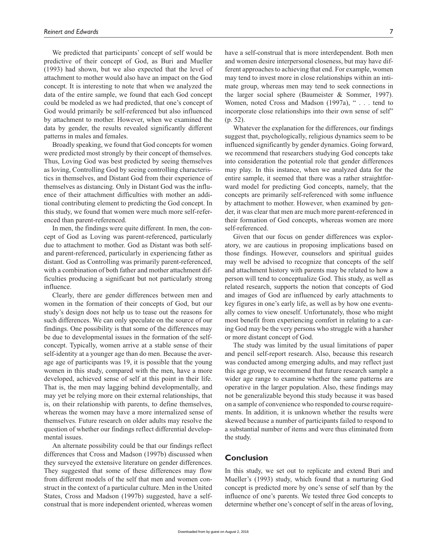We predicted that participants' concept of self would be predictive of their concept of God, as Buri and Mueller (1993) had shown, but we also expected that the level of attachment to mother would also have an impact on the God concept. It is interesting to note that when we analyzed the data of the entire sample, we found that each God concept could be modeled as we had predicted, that one's concept of God would primarily be self-referenced but also influenced by attachment to mother. However, when we examined the data by gender, the results revealed significantly different patterns in males and females.

Broadly speaking, we found that God concepts for women were predicted most strongly by their concept of themselves. Thus, Loving God was best predicted by seeing themselves as loving, Controlling God by seeing controlling characteristics in themselves, and Distant God from their experience of themselves as distancing. Only in Distant God was the influence of their attachment difficulties with mother an additional contributing element to predicting the God concept. In this study, we found that women were much more self-referenced than parent-referenced.

In men, the findings were quite different. In men, the concept of God as Loving was parent-referenced, particularly due to attachment to mother. God as Distant was both selfand parent-referenced, particularly in experiencing father as distant. God as Controlling was primarily parent-referenced, with a combination of both father and mother attachment difficulties producing a significant but not particularly strong influence.

Clearly, there are gender differences between men and women in the formation of their concepts of God, but our study's design does not help us to tease out the reasons for such differences. We can only speculate on the source of our findings. One possibility is that some of the differences may be due to developmental issues in the formation of the selfconcept. Typically, women arrive at a stable sense of their self-identity at a younger age than do men. Because the average age of participants was 19, it is possible that the young women in this study, compared with the men, have a more developed, achieved sense of self at this point in their life. That is, the men may lagging behind developmentally, and may yet be relying more on their external relationships, that is, on their relationship with parents, to define themselves, whereas the women may have a more internalized sense of themselves. Future research on older adults may resolve the question of whether our findings reflect differential developmental issues.

An alternate possibility could be that our findings reflect differences that Cross and Madson (1997b) discussed when they surveyed the extensive literature on gender differences. They suggested that some of these differences may flow from different models of the self that men and women construct in the context of a particular culture. Men in the United States, Cross and Madson (1997b) suggested, have a selfconstrual that is more independent oriented, whereas women

have a self-construal that is more interdependent. Both men and women desire interpersonal closeness, but may have different approaches to achieving that end. For example, women may tend to invest more in close relationships within an intimate group, whereas men may tend to seek connections in the larger social sphere (Baumeister & Sommer, 1997). Women, noted Cross and Madson (1997a), " . . . tend to incorporate close relationships into their own sense of self" (p. 52).

Whatever the explanation for the differences, our findings suggest that, psychologically, religious dynamics seem to be influenced significantly by gender dynamics. Going forward, we recommend that researchers studying God concepts take into consideration the potential role that gender differences may play. In this instance, when we analyzed data for the entire sample, it seemed that there was a rather straightforward model for predicting God concepts, namely, that the concepts are primarily self-referenced with some influence by attachment to mother. However, when examined by gender, it was clear that men are much more parent-referenced in their formation of God concepts, whereas women are more self-referenced.

Given that our focus on gender differences was exploratory, we are cautious in proposing implications based on those findings. However, counselors and spiritual guides may well be advised to recognize that concepts of the self and attachment history with parents may be related to how a person will tend to conceptualize God. This study, as well as related research, supports the notion that concepts of God and images of God are influenced by early attachments to key figures in one's early life, as well as by how one eventually comes to view oneself. Unfortunately, those who might most benefit from experiencing comfort in relating to a caring God may be the very persons who struggle with a harsher or more distant concept of God.

The study was limited by the usual limitations of paper and pencil self-report research. Also, because this research was conducted among emerging adults, and may reflect just this age group, we recommend that future research sample a wider age range to examine whether the same patterns are operative in the larger population. Also, these findings may not be generalizable beyond this study because it was based on a sample of convenience who responded to course requirements. In addition, it is unknown whether the results were skewed because a number of participants failed to respond to a substantial number of items and were thus eliminated from the study.

### **Conclusion**

In this study, we set out to replicate and extend Buri and Mueller's (1993) study, which found that a nurturing God concept is predicted more by one's sense of self than by the influence of one's parents. We tested three God concepts to determine whether one's concept of self in the areas of loving,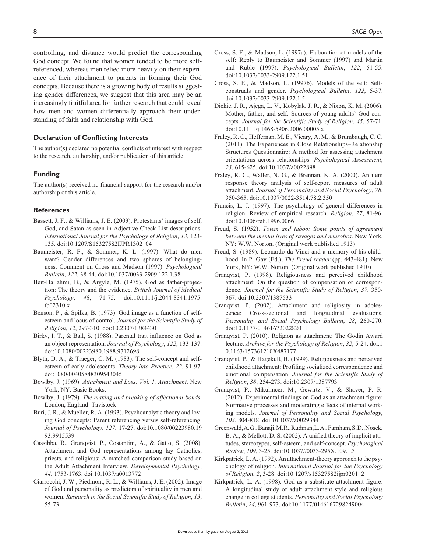controlling, and distance would predict the corresponding God concept. We found that women tended to be more selfreferenced, whereas men relied more heavily on their experience of their attachment to parents in forming their God concepts. Because there is a growing body of results suggesting gender differences, we suggest that this area may be an increasingly fruitful area for further research that could reveal how men and women differentially approach their understanding of faith and relationship with God.

# **Declaration of Conflicting Interests**

The author(s) declared no potential conflicts of interest with respect to the research, authorship, and/or publication of this article.

#### **Funding**

The author(s) received no financial support for the research and/or authorship of this article.

#### **References**

- Bassett, J. F., & Williams, J. E. (2003). Protestants' images of self, God, and Satan as seen in Adjective Check List descriptions. *International Journal for the Psychology of Religion*, *13*, 123- 135. doi:10.1207/S15327582IJPR1302\_04
- Baumeister, R. F., & Sommer, K. L. (1997). What do men want? Gender differences and two spheres of belongingness: Comment on Cross and Madson (1997). *Psychological Bulletin*, *122*, 38-44. doi:10.1037/0033-2909.122.1.38
- Beit-Hallahmi, B., & Argyle, M. (1975). God as father-projection: The theory and the evidence. *British Journal of Medical Psychology*, *48*, 71-75. doi:10.1111/j.2044-8341.1975. tb02310.x
- Benson, P., & Spilka, B. (1973). God image as a function of selfesteem and locus of control. *Journal for the Scientific Study of Religion*, *12*, 297-310. doi:10.2307/1384430
- Birky, I. T., & Ball, S. (1988). Parental trait influence on God as an object representation. *Journal of Psychology*, *122*, 133-137. doi:10.1080/00223980.1988.9712698
- Blyth, D. A., & Traeger, C. M. (1983). The self-concept and selfesteem of early adolescents. *Theory Into Practice*, *22*, 91-97. doi:1080/00405848309543045
- Bowlby, J. (1969). *Attachment and Loss: Vol. 1. Attachment*. New York, NY: Basic Books.
- Bowlby, J. (1979). *The making and breaking of affectional bonds*. London, England: Tavistock.
- Buri, J. R., & Mueller, R. A. (1993). Psychoanalytic theory and loving God concepts: Parent referencing versus self-referencing. *Journal of Psychology*, *127*, 17-27. doi:10.1080/00223980.19 93.9915539
- Cassibba, R., Granqvist, P., Costantini, A., & Gatto, S. (2008). Attachment and God representations among lay Catholics, priests, and religious: A matched comparison study based on the Adult Attachment Interview. *Developmental Psychology*, *44*, 1753-1763. doi:10.1037/a0013772
- Ciarrocchi, J. W., Piedmont, R. L., & Williams, J. E. (2002). Image of God and personality as predictors of spirituality in men and women. *Research in the Social Scientific Study of Religion*, *13*, 55-73.
- Cross, S. E., & Madson, L. (1997a). Elaboration of models of the self: Reply to Baumeister and Sommer (1997) and Martin and Ruble (1997). *Psychological Bulletin*, *122*, 51-55. doi:10.1037/0033-2909.122.1.51
- Cross, S. E., & Madson, L. (1997b). Models of the self: Selfconstruals and gender. *Psychological Bulletin*, *122*, 5-37. doi:10.1037/0033-2909.122.1.5
- Dickie, J. R., Ajega, L. V., Kobylak, J. R., & Nixon, K. M. (2006). Mother, father, and self: Sources of young adults' God concepts. *Journal for the Scientific Study of Religion*, *45*, 57-71. doi:10.1111/j.1468-5906.2006.00005.x
- Fraley, R. C., Heffernan, M. E., Vicary, A. M., & Brumbaugh, C. C. (2011). The Experiences in Close Relationships–Relationship Structures Questionnaire: A method for assessing attachment orientations across relationships. *Psychological Assessment*, *23*, 615-625. doi:10.1037/a0022898
- Fraley, R. C., Waller, N. G., & Brennan, K. A. (2000). An item response theory analysis of self-report measures of adult attachment. *Journal of Personality and Social Psychology*, *78*, 350-365. doi:10.1037/0022-3514.78.2.350
- Francis, L. J. (1997). The psychology of general differences in religion: Review of empirical research. *Religion*, *27*, 81-96. doi:10.1006/reli.1996.0066
- Freud, S. (1952). *Totem and taboo: Some points of agreement between the mental lives of savages and neurotics*. New York, NY: W.W. Norton. (Original work published 1913)
- Freud, S. (1989). Leonardo da Vinci and a memory of his childhood. In P. Gay (Ed.), *The Freud reader* (pp. 443-481). New York, NY: W.W. Norton. (Original work published 1910)
- Granqvist, P. (1998). Religiousness and perceived childhood attachment: On the question of compensation or correspondence. *Journal for the Scientific Study of Religion*, *37*, 350- 367. doi:10.2307/1387533
- Granqvist, P. (2002). Attachment and religiosity in adolescence: Cross-sectional and longitudinal evaluations. *Personality and Social Psychology Bulletin*, *28*, 260-270. doi:10.1177/0146167202282011
- Granqvist, P. (2010). Religion as attachment: The Godin Award lecture. *Archive for the Psychology of Religion*, *32*, 5-24. doi:1 0.1163/157361210X487177
- Granqvist, P., & Hagekull, B. (1999). Religiousness and perceived childhood attachment: Profiling socialized correspondence and emotional compensation. *Journal for the Scientific Study of Religion*, *38*, 254-273. doi:10.2307/1387793
- Granqvist, P., Mikulincer, M., Gewirtz, V., & Shaver, P. R. (2012). Experimental findings on God as an attachment figure: Normative processes and moderating effects of internal working models. *Journal of Personality and Social Psychology*, *103*, 804-818. doi:10.1037/a0029344
- Greenwald, A. G., Banaji, M. R., Rudman, L. A., Farnham, S. D., Nosek, B. A., & Mellott, D. S. (2002). A unified theory of implicit attitudes, stereotypes, self-esteem, and self-concept. *Psychological Review*, *109*, 3-25. doi:10.1037//0033-295X.109.1.3
- Kirkpatrick, L. A. (1992). An attachment-theory approach to the psychology of religion. *International Journal for the Psychology of Religion*, *2*, 3-28. doi:10.1207/s15327582ijpr0201\_2
- Kirkpatrick, L. A. (1998). God as a substitute attachment figure: A longitudinal study of adult attachment style and religious change in college students. *Personality and Social Psychology Bulletin*, *24*, 961-973. doi:10.1177/0146167298249004